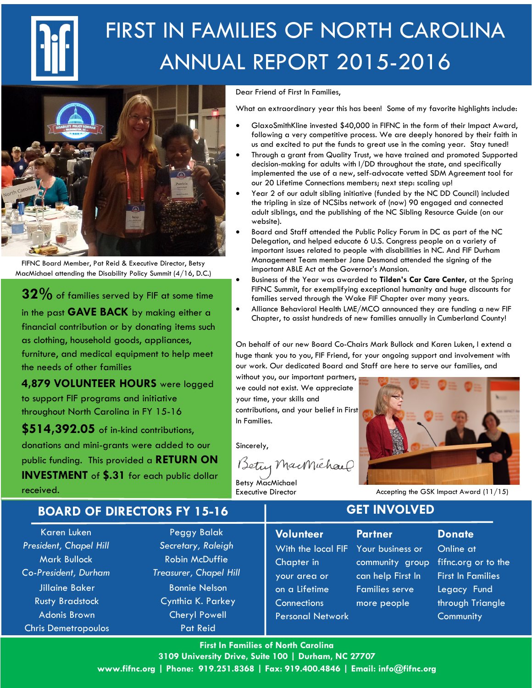

# FIRST IN FAMILIES OF NORTH CAROLINA ANNUAL REPORT 2015-2016



FIFNC Board Member, Pat Reid & Executive Director, Betsy MacMichael attending the Disability Policy Summit (4/16, D.C.)

 $32\%$  of families served by FIF at some time in the past **GAVE BACK** by making either a financial contribution or by donating items such as clothing, household goods, appliances, furniture, and medical equipment to help meet the needs of other families

4,879 VOLUNTEER HOURS were logged to support FIF programs and initiative throughout North Carolina in FY 15-16

\$514,392.05 of in-kind contributions, donations and mini-grants were added to our public funding. This provided a RETURN ON INVESTMENT of \$.31 for each public dollar

received.

Dear Friend of First In Families,

What an extraordinary year this has been! Some of my favorite highlights include:

- GlaxoSmithKline invested \$40,000 in FIFNC in the form of their Impact Award, following a very competitive process. We are deeply honored by their faith in us and excited to put the funds to great use in the coming year. Stay tuned!
- Through a grant from Quality Trust, we have trained and promoted Supported decision-making for adults with I/DD throughout the state, and specifically implemented the use of a new, self-advocate vetted SDM Agreement tool for our 20 Lifetime Connections members; next step: scaling up!
- · Year 2 of our adult sibling initiative (funded by the NC DD Council) included the tripling in size of NCSibs network of (now) 90 engaged and connected adult siblings, and the publishing of the NC Sibling Resource Guide (on our website).
- Board and Staff attended the Public Policy Forum in DC as part of the NC Delegation, and helped educate 6 U.S. Congress people on a variety of important issues related to people with disabilities in NC. And FIF Durham Management Team member Jane Desmond attended the signing of the important ABLE Act at the Governor's Mansion.
- Business of the Year was awarded to Tilden's Car Care Center, at the Spring FIFNC Summit, for exemplifying exceptional humanity and huge discounts for families served through the Wake FIF Chapter over many years.
- · Alliance Behavioral Health LME/MCO announced they are funding a new FIF Chapter, to assist hundreds of new families annually in Cumberland County!

On behalf of our new Board Co-Chairs Mark Bullock and Karen Luken, I extend a huge thank you to you, FIF Friend, for your ongoing support and involvement with our work. Our dedicated Board and Staff are here to serve our families, and

without you, our important partners, we could not exist. We appreciate your time, your skills and contributions, and your belief in First In Families.

Sincerely,

Betty MacMichael

Betsy MacMichael Executive Director



Accepting the GSK Impact Award (11/15)

#### BOARD OF DIRECTORS FY 15-16

Karen Luken President, Chapel Hill Mark Bullock Co-President, Durham Jillaine Baker Rusty Bradstock Adonis Brown Chris Demetropoulos

Peggy Balak Secretary, Raleigh Robin McDuffie Treasurer, Chapel Hill Bonnie Nelson Cynthia K. Parkey Cheryl Powell Pat Reid

### **Volunteer** Chapter in your area or on a Lifetime **Connections** Personal Network

With the local FIF Your business or community group fifnc.org or to the can help First In Families serve more people

GET INVOLVED

**Partner** 

#### **Donate**

Online at First In Families Legacy Fund through Triangle **Community** 

First In Families of North Carolina 3109 University Drive, Suite 100 | Durham, NC 27707 www.fifnc.org | Phone: 919.251.8368 | Fax: 919.400.4846 | Email: info@fifnc.org